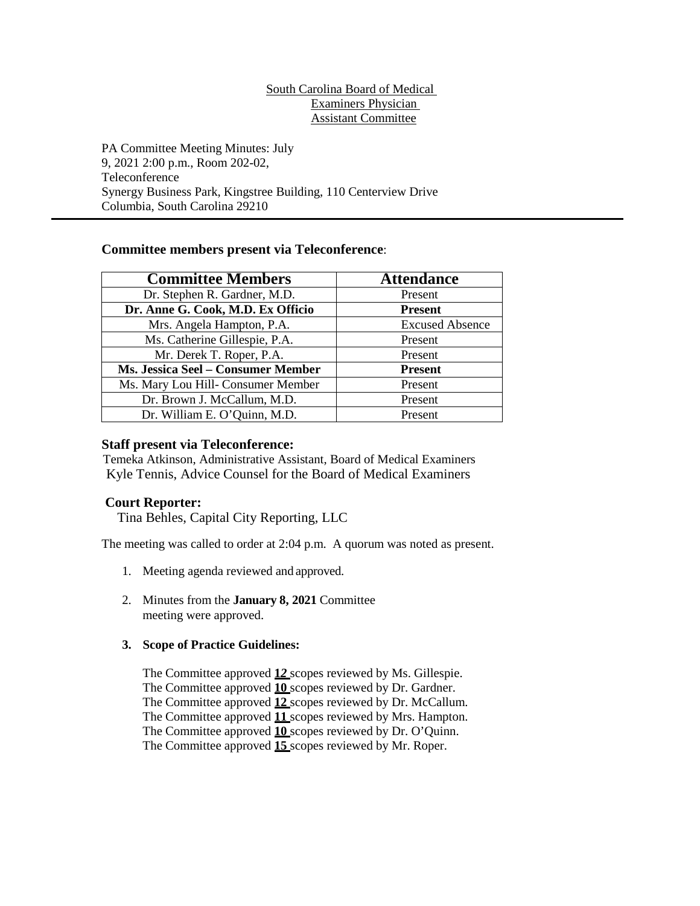## South Carolina Board of Medical Examiners Physician Assistant Committee

PA Committee Meeting Minutes: July 9, 2021 2:00 p.m., Room 202-02, Teleconference Synergy Business Park, Kingstree Building, 110 Centerview Drive Columbia, South Carolina 29210

# **Committee members present via Teleconference**:

| <b>Committee Members</b>           | <b>Attendance</b>      |
|------------------------------------|------------------------|
| Dr. Stephen R. Gardner, M.D.       | Present                |
| Dr. Anne G. Cook, M.D. Ex Officio  | <b>Present</b>         |
| Mrs. Angela Hampton, P.A.          | <b>Excused Absence</b> |
| Ms. Catherine Gillespie, P.A.      | Present                |
| Mr. Derek T. Roper, P.A.           | Present                |
| Ms. Jessica Seel - Consumer Member | <b>Present</b>         |
| Ms. Mary Lou Hill- Consumer Member | Present                |
| Dr. Brown J. McCallum, M.D.        | Present                |
| Dr. William E. O'Quinn, M.D.       | Present                |

# **Staff present via Teleconference:**

Temeka Atkinson, Administrative Assistant, Board of Medical Examiners Kyle Tennis, Advice Counsel for the Board of Medical Examiners

# **Court Reporter:**

Tina Behles, Capital City Reporting, LLC

The meeting was called to order at 2:04 p.m. A quorum was noted as present.

- 1. Meeting agenda reviewed and approved.
- 2. Minutes from the **January 8, 2021** Committee meeting were approved.

#### **3. Scope of Practice Guidelines:**

The Committee approved **1***2* scopes reviewed by Ms. Gillespie. The Committee approved **10** scopes reviewed by Dr. Gardner. The Committee approved **12** scopes reviewed by Dr. McCallum. The Committee approved **11** scopes reviewed by Mrs. Hampton. The Committee approved **10** scopes reviewed by Dr. O'Quinn. The Committee approved **15** scopes reviewed by Mr. Roper.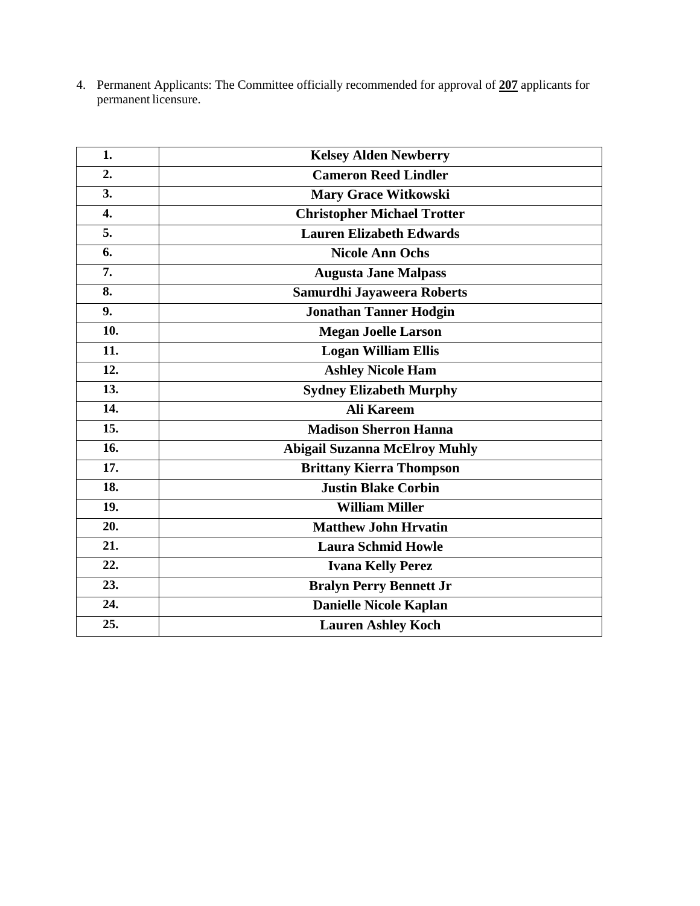4. Permanent Applicants: The Committee officially recommended for approval of **207** applicants for permanent licensure.

| 1.  | <b>Kelsey Alden Newberry</b>         |
|-----|--------------------------------------|
| 2.  | <b>Cameron Reed Lindler</b>          |
| 3.  | <b>Mary Grace Witkowski</b>          |
| 4.  | <b>Christopher Michael Trotter</b>   |
| 5.  | <b>Lauren Elizabeth Edwards</b>      |
| 6.  | <b>Nicole Ann Ochs</b>               |
| 7.  | <b>Augusta Jane Malpass</b>          |
| 8.  | Samurdhi Jayaweera Roberts           |
| 9.  | <b>Jonathan Tanner Hodgin</b>        |
| 10. | <b>Megan Joelle Larson</b>           |
| 11. | <b>Logan William Ellis</b>           |
| 12. | <b>Ashley Nicole Ham</b>             |
| 13. | <b>Sydney Elizabeth Murphy</b>       |
| 14. | <b>Ali Kareem</b>                    |
| 15. | <b>Madison Sherron Hanna</b>         |
| 16. | <b>Abigail Suzanna McElroy Muhly</b> |
| 17. | <b>Brittany Kierra Thompson</b>      |
| 18. | <b>Justin Blake Corbin</b>           |
| 19. | <b>William Miller</b>                |
| 20. | <b>Matthew John Hrvatin</b>          |
| 21. | <b>Laura Schmid Howle</b>            |
| 22. | <b>Ivana Kelly Perez</b>             |
| 23. | <b>Bralyn Perry Bennett Jr</b>       |
| 24. | <b>Danielle Nicole Kaplan</b>        |
| 25. | <b>Lauren Ashley Koch</b>            |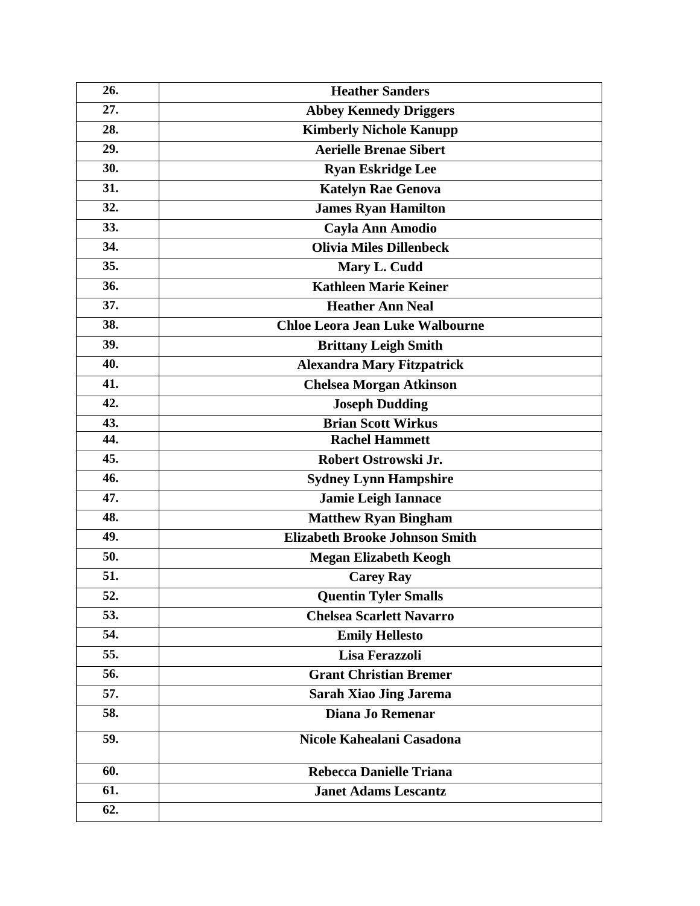| 26. | <b>Heather Sanders</b>                 |
|-----|----------------------------------------|
| 27. | <b>Abbey Kennedy Driggers</b>          |
| 28. | <b>Kimberly Nichole Kanupp</b>         |
| 29. | <b>Aerielle Brenae Sibert</b>          |
| 30. | <b>Ryan Eskridge Lee</b>               |
| 31. | <b>Katelyn Rae Genova</b>              |
| 32. | <b>James Ryan Hamilton</b>             |
| 33. | Cayla Ann Amodio                       |
| 34. | <b>Olivia Miles Dillenbeck</b>         |
| 35. | Mary L. Cudd                           |
| 36. | <b>Kathleen Marie Keiner</b>           |
| 37. | <b>Heather Ann Neal</b>                |
| 38. | <b>Chloe Leora Jean Luke Walbourne</b> |
| 39. | <b>Brittany Leigh Smith</b>            |
| 40. | <b>Alexandra Mary Fitzpatrick</b>      |
| 41. | <b>Chelsea Morgan Atkinson</b>         |
| 42. | <b>Joseph Dudding</b>                  |
| 43. | <b>Brian Scott Wirkus</b>              |
| 44. | <b>Rachel Hammett</b>                  |
| 45. | Robert Ostrowski Jr.                   |
| 46. | <b>Sydney Lynn Hampshire</b>           |
| 47. | <b>Jamie Leigh Iannace</b>             |
| 48. | <b>Matthew Ryan Bingham</b>            |
| 49. | <b>Elizabeth Brooke Johnson Smith</b>  |
| 50. | <b>Megan Elizabeth Keogh</b>           |
| 51. | <b>Carey Ray</b>                       |
| 52. | <b>Quentin Tyler Smalls</b>            |
| 53. | <b>Chelsea Scarlett Navarro</b>        |
| 54. | <b>Emily Hellesto</b>                  |
| 55. | Lisa Ferazzoli                         |
| 56. | <b>Grant Christian Bremer</b>          |
| 57. | <b>Sarah Xiao Jing Jarema</b>          |
| 58. | Diana Jo Remenar                       |
| 59. | Nicole Kahealani Casadona              |
| 60. | <b>Rebecca Danielle Triana</b>         |
| 61. | <b>Janet Adams Lescantz</b>            |
| 62. |                                        |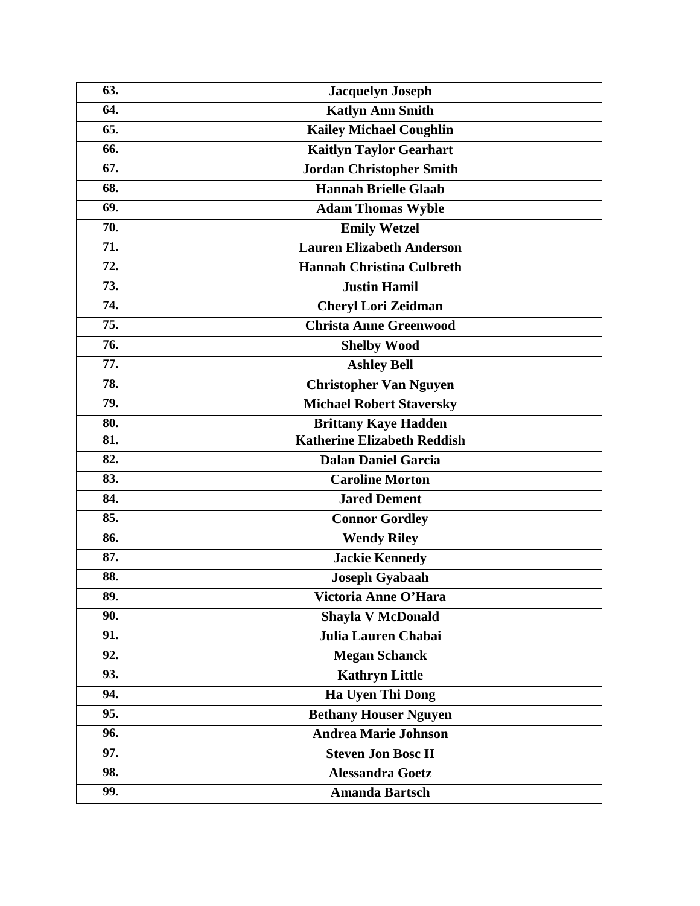| 63. | <b>Jacquelyn Joseph</b>            |
|-----|------------------------------------|
| 64. | <b>Katlyn Ann Smith</b>            |
| 65. | <b>Kailey Michael Coughlin</b>     |
| 66. | <b>Kaitlyn Taylor Gearhart</b>     |
| 67. | <b>Jordan Christopher Smith</b>    |
| 68. | <b>Hannah Brielle Glaab</b>        |
| 69. | <b>Adam Thomas Wyble</b>           |
| 70. | <b>Emily Wetzel</b>                |
| 71. | <b>Lauren Elizabeth Anderson</b>   |
| 72. | <b>Hannah Christina Culbreth</b>   |
| 73. | <b>Justin Hamil</b>                |
| 74. | <b>Cheryl Lori Zeidman</b>         |
| 75. | <b>Christa Anne Greenwood</b>      |
| 76. | <b>Shelby Wood</b>                 |
| 77. | <b>Ashley Bell</b>                 |
| 78. | <b>Christopher Van Nguyen</b>      |
| 79. | <b>Michael Robert Staversky</b>    |
| 80. | <b>Brittany Kaye Hadden</b>        |
| 81. | <b>Katherine Elizabeth Reddish</b> |
| 82. | <b>Dalan Daniel Garcia</b>         |
| 83. | <b>Caroline Morton</b>             |
| 84. | <b>Jared Dement</b>                |
| 85. | <b>Connor Gordley</b>              |
| 86. | <b>Wendy Riley</b>                 |
| 87. | <b>Jackie Kennedy</b>              |
| 88. | <b>Joseph Gyabaah</b>              |
| 89. | Victoria Anne O'Hara               |
| 90. | <b>Shayla V McDonald</b>           |
| 91. | Julia Lauren Chabai                |
| 92. | <b>Megan Schanck</b>               |
| 93. | <b>Kathryn Little</b>              |
| 94. | Ha Uyen Thi Dong                   |
| 95. | <b>Bethany Houser Nguyen</b>       |
| 96. | <b>Andrea Marie Johnson</b>        |
| 97. | <b>Steven Jon Bosc II</b>          |
| 98. | <b>Alessandra Goetz</b>            |
| 99. | <b>Amanda Bartsch</b>              |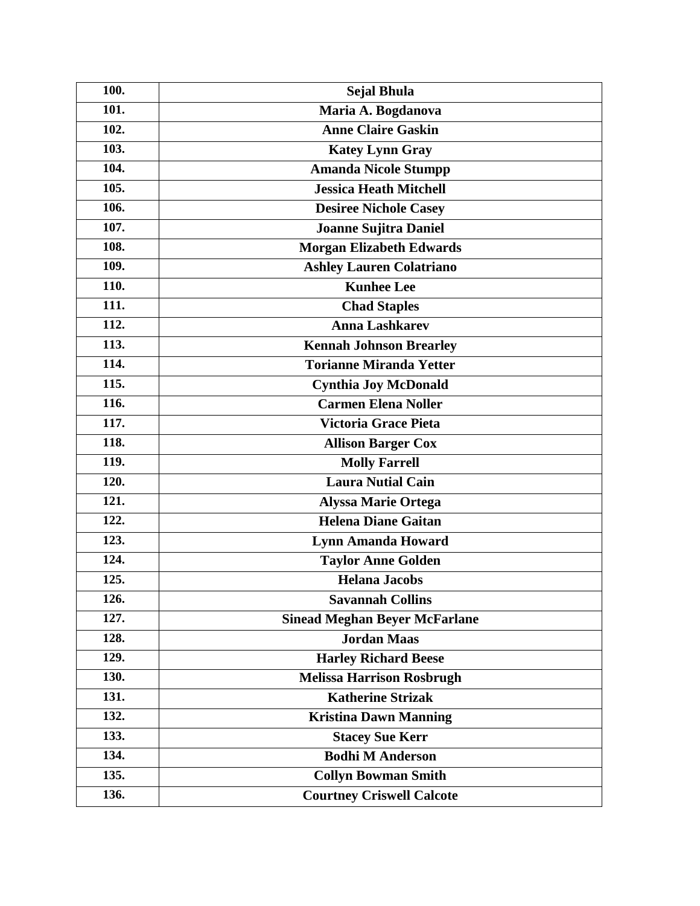| 100.               | Sejal Bhula                          |
|--------------------|--------------------------------------|
| 101.               | Maria A. Bogdanova                   |
| 102.               | <b>Anne Claire Gaskin</b>            |
| 103.               | <b>Katey Lynn Gray</b>               |
| 104.               | <b>Amanda Nicole Stumpp</b>          |
| 105.               | <b>Jessica Heath Mitchell</b>        |
| 106.               | <b>Desiree Nichole Casey</b>         |
| 107.               | <b>Joanne Sujitra Daniel</b>         |
| 108.               | <b>Morgan Elizabeth Edwards</b>      |
| 109.               | <b>Ashley Lauren Colatriano</b>      |
| 110.               | <b>Kunhee Lee</b>                    |
| 111.               | <b>Chad Staples</b>                  |
| 112.               | <b>Anna Lashkarev</b>                |
| 113.               | <b>Kennah Johnson Brearley</b>       |
| 114.               | <b>Torianne Miranda Yetter</b>       |
| $\overline{115}$ . | <b>Cynthia Joy McDonald</b>          |
| 116.               | <b>Carmen Elena Noller</b>           |
| 117.               | Victoria Grace Pieta                 |
| 118.               | <b>Allison Barger Cox</b>            |
| 119.               | <b>Molly Farrell</b>                 |
| 120.               | Laura Nutial Cain                    |
| 121.               | <b>Alyssa Marie Ortega</b>           |
| 122.               | <b>Helena Diane Gaitan</b>           |
| 123.               | <b>Lynn Amanda Howard</b>            |
| 124.               | <b>Taylor Anne Golden</b>            |
| 125.               | <b>Helana Jacobs</b>                 |
| 126.               | <b>Savannah Collins</b>              |
| 127.               | <b>Sinead Meghan Beyer McFarlane</b> |
| 128.               | <b>Jordan Maas</b>                   |
| 129.               | <b>Harley Richard Beese</b>          |
| 130.               | <b>Melissa Harrison Rosbrugh</b>     |
| 131.               | <b>Katherine Strizak</b>             |
| 132.               | <b>Kristina Dawn Manning</b>         |
| 133.               | <b>Stacey Sue Kerr</b>               |
| 134.               | <b>Bodhi M Anderson</b>              |
| 135.               | <b>Collyn Bowman Smith</b>           |
| 136.               | <b>Courtney Criswell Calcote</b>     |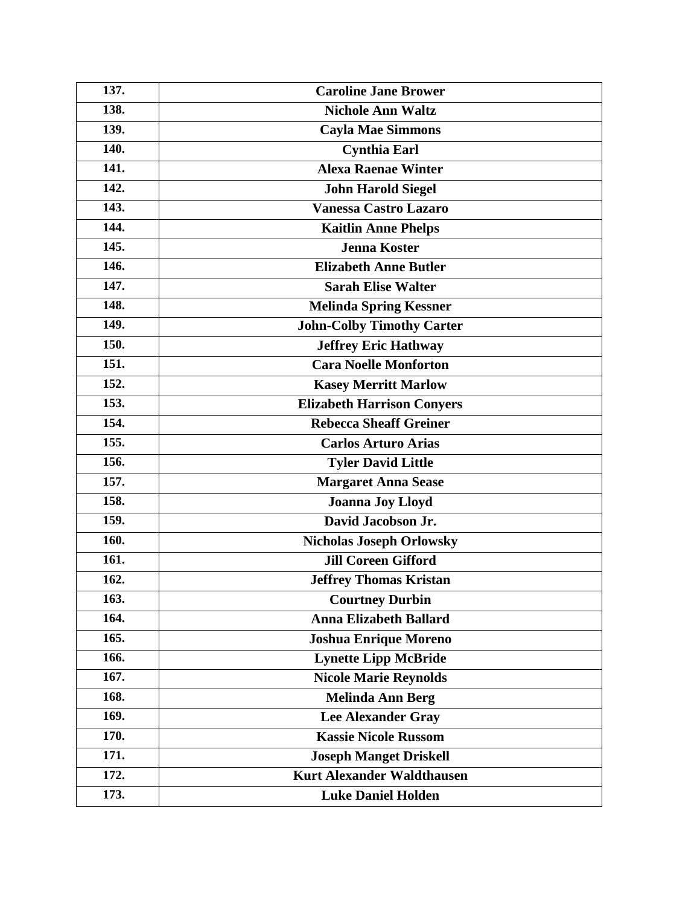| 137. | <b>Caroline Jane Brower</b>       |
|------|-----------------------------------|
| 138. | <b>Nichole Ann Waltz</b>          |
| 139. | <b>Cayla Mae Simmons</b>          |
| 140. | <b>Cynthia Earl</b>               |
| 141. | <b>Alexa Raenae Winter</b>        |
| 142. | <b>John Harold Siegel</b>         |
| 143. | <b>Vanessa Castro Lazaro</b>      |
| 144. | <b>Kaitlin Anne Phelps</b>        |
| 145. | Jenna Koster                      |
| 146. | <b>Elizabeth Anne Butler</b>      |
| 147. | <b>Sarah Elise Walter</b>         |
| 148. | <b>Melinda Spring Kessner</b>     |
| 149. | <b>John-Colby Timothy Carter</b>  |
| 150. | <b>Jeffrey Eric Hathway</b>       |
| 151. | <b>Cara Noelle Monforton</b>      |
| 152. | <b>Kasey Merritt Marlow</b>       |
| 153. | <b>Elizabeth Harrison Conyers</b> |
| 154. | <b>Rebecca Sheaff Greiner</b>     |
| 155. | <b>Carlos Arturo Arias</b>        |
| 156. | <b>Tyler David Little</b>         |
| 157. | <b>Margaret Anna Sease</b>        |
| 158. | <b>Joanna Joy Lloyd</b>           |
| 159. | David Jacobson Jr.                |
| 160. | <b>Nicholas Joseph Orlowsky</b>   |
| 161. | <b>Jill Coreen Gifford</b>        |
| 162. | <b>Jeffrey Thomas Kristan</b>     |
| 163. | <b>Courtney Durbin</b>            |
| 164. | <b>Anna Elizabeth Ballard</b>     |
| 165. | <b>Joshua Enrique Moreno</b>      |
| 166. | <b>Lynette Lipp McBride</b>       |
| 167. | <b>Nicole Marie Reynolds</b>      |
| 168. | <b>Melinda Ann Berg</b>           |
| 169. | <b>Lee Alexander Gray</b>         |
| 170. | <b>Kassie Nicole Russom</b>       |
| 171. | <b>Joseph Manget Driskell</b>     |
| 172. | <b>Kurt Alexander Waldthausen</b> |
| 173. | <b>Luke Daniel Holden</b>         |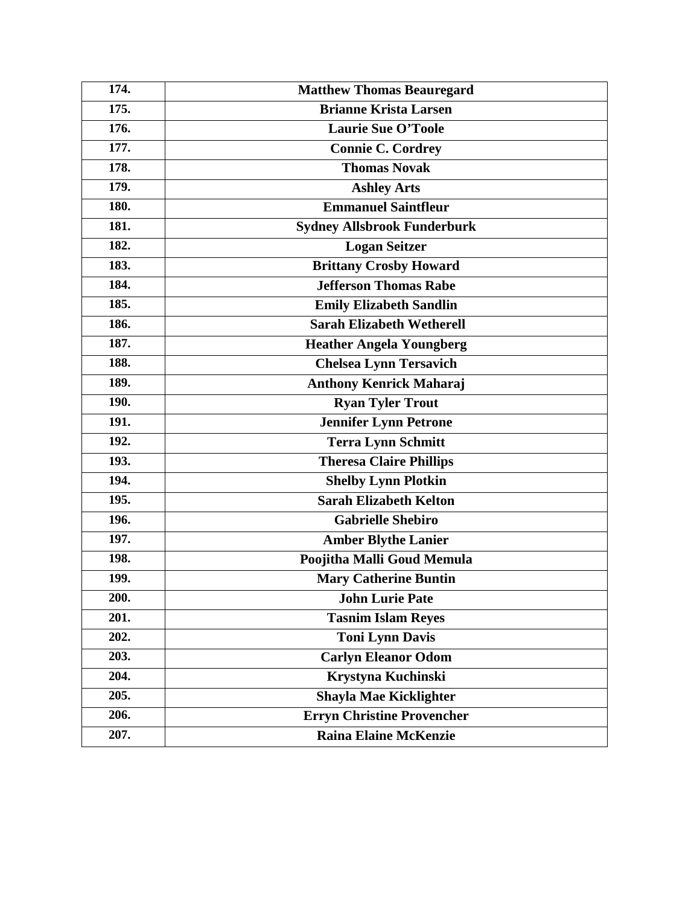| 174. | <b>Matthew Thomas Beauregard</b>   |
|------|------------------------------------|
| 175. | <b>Brianne Krista Larsen</b>       |
| 176. | <b>Laurie Sue O'Toole</b>          |
| 177. | <b>Connie C. Cordrey</b>           |
| 178. | <b>Thomas Novak</b>                |
| 179. | <b>Ashley Arts</b>                 |
| 180. | <b>Emmanuel Saintfleur</b>         |
| 181. | <b>Sydney Allsbrook Funderburk</b> |
| 182. | <b>Logan Seitzer</b>               |
| 183. | <b>Brittany Crosby Howard</b>      |
| 184. | <b>Jefferson Thomas Rabe</b>       |
| 185. | <b>Emily Elizabeth Sandlin</b>     |
| 186. | <b>Sarah Elizabeth Wetherell</b>   |
| 187. | <b>Heather Angela Youngberg</b>    |
| 188. | <b>Chelsea Lynn Tersavich</b>      |
| 189. | <b>Anthony Kenrick Maharaj</b>     |
| 190. | <b>Ryan Tyler Trout</b>            |
| 191. | <b>Jennifer Lynn Petrone</b>       |
| 192. | <b>Terra Lynn Schmitt</b>          |
| 193. | <b>Theresa Claire Phillips</b>     |
| 194. | <b>Shelby Lynn Plotkin</b>         |
| 195. | <b>Sarah Elizabeth Kelton</b>      |
| 196. | <b>Gabrielle Shebiro</b>           |
| 197. | <b>Amber Blythe Lanier</b>         |
| 198. | Poojitha Malli Goud Memula         |
| 199. | <b>Mary Catherine Buntin</b>       |
| 200. | <b>John Lurie Pate</b>             |
| 201. | <b>Tasnim Islam Reyes</b>          |
| 202. | <b>Toni Lynn Davis</b>             |
| 203. | <b>Carlyn Eleanor Odom</b>         |
| 204. | Krystyna Kuchinski                 |
| 205. | <b>Shayla Mae Kicklighter</b>      |
| 206. | <b>Erryn Christine Provencher</b>  |
| 207. | <b>Raina Elaine McKenzie</b>       |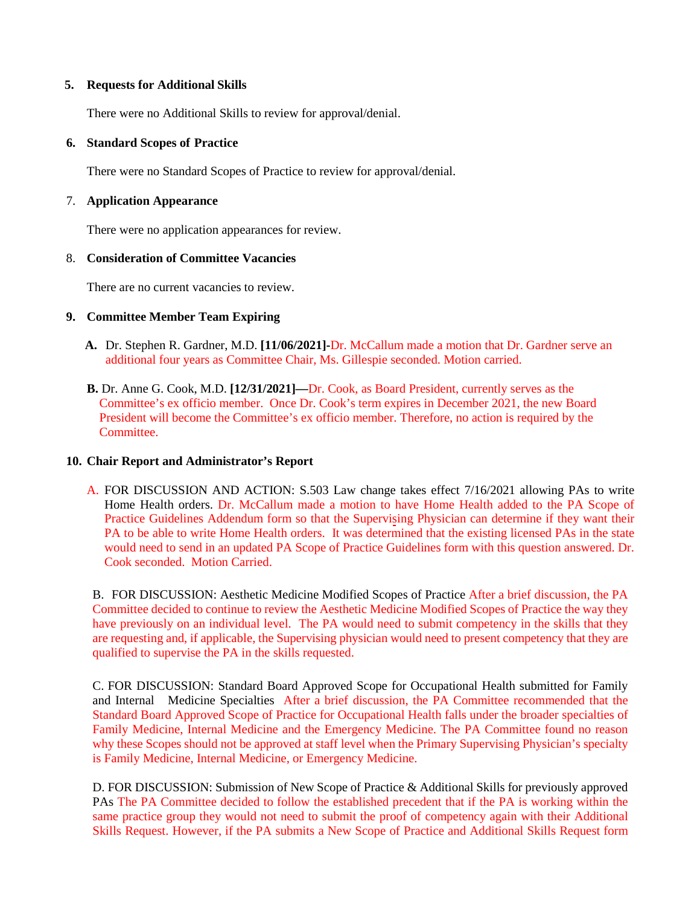## **5. Requests for Additional Skills**

There were no Additional Skills to review for approval/denial.

## **6. Standard Scopes of Practice**

There were no Standard Scopes of Practice to review for approval/denial.

# 7. **Application Appearance**

There were no application appearances for review.

# 8. **Consideration of Committee Vacancies**

There are no current vacancies to review.

# **9. Committee Member Team Expiring**

- **A.** Dr. Stephen R. Gardner, M.D. **[11/06/2021]-**Dr. McCallum made a motion that Dr. Gardner serve an additional four years as Committee Chair, Ms. Gillespie seconded. Motion carried.
- **B.** Dr. Anne G. Cook, M.D. **[12/31/2021]—**Dr. Cook, as Board President, currently serves as the Committee's ex officio member. Once Dr. Cook's term expires in December 2021, the new Board President will become the Committee's ex officio member. Therefore, no action is required by the **Committee**

#### **10. Chair Report and Administrator's Report**

A. FOR DISCUSSION AND ACTION: S.503 Law change takes effect 7/16/2021 allowing PAs to write Home Health orders. Dr. McCallum made a motion to have Home Health added to the PA Scope of Practice Guidelines Addendum form so that the Supervising Physician can determine if they want their PA to be able to write Home Health orders. It was determined that the existing licensed PAs in the state would need to send in an updated PA Scope of Practice Guidelines form with this question answered. Dr. Cook seconded. Motion Carried.

B. FOR DISCUSSION: Aesthetic Medicine Modified Scopes of Practice After a brief discussion, the PA Committee decided to continue to review the Aesthetic Medicine Modified Scopes of Practice the way they have previously on an individual level. The PA would need to submit competency in the skills that they are requesting and, if applicable, the Supervising physician would need to present competency that they are qualified to supervise the PA in the skills requested.

C. FOR DISCUSSION: Standard Board Approved Scope for Occupational Health submitted for Family and Internal Medicine Specialties After a brief discussion, the PA Committee recommended that the Standard Board Approved Scope of Practice for Occupational Health falls under the broader specialties of Family Medicine, Internal Medicine and the Emergency Medicine. The PA Committee found no reason why these Scopes should not be approved at staff level when the Primary Supervising Physician's specialty is Family Medicine, Internal Medicine, or Emergency Medicine.

D. FOR DISCUSSION: Submission of New Scope of Practice & Additional Skills for previously approved PAs The PA Committee decided to follow the established precedent that if the PA is working within the same practice group they would not need to submit the proof of competency again with their Additional Skills Request. However, if the PA submits a New Scope of Practice and Additional Skills Request form